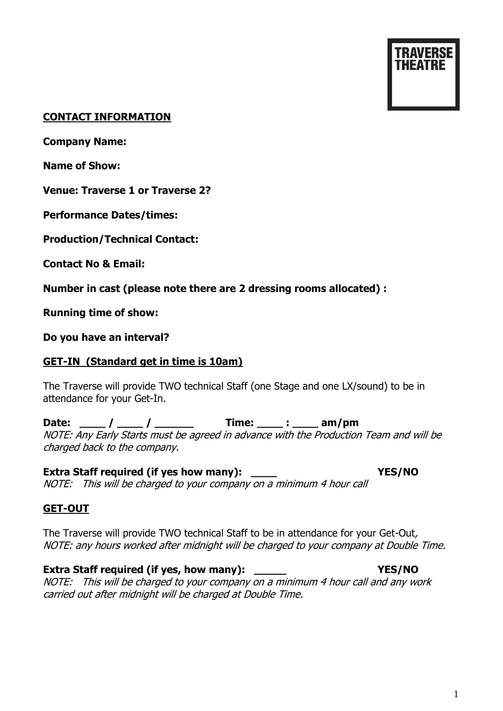# **CONTACT INFORMATION**

**Company Name:**

**Name of Show:**

**Venue: Traverse 1 or Traverse 2?**

**Performance Dates/times:**

**Production/Technical Contact:**

**Contact No & Email:**

**Number in cast (please note there are 2 dressing rooms allocated) :**

**Running time of show:** 

**Do you have an interval?**

# **GET-IN (Standard get in time is 10am)**

The Traverse will provide TWO technical Staff (one Stage and one LX/sound) to be in attendance for your Get-In.

**Date: \_\_\_\_ / \_\_\_\_ / \_\_\_\_\_\_ Time: \_\_\_\_ : \_\_\_\_ am/pm** NOTE: Any Early Starts must be agreed in advance with the Production Team and will be charged back to the company.

**Extra Staff required (if yes how many): \_\_\_\_ YES/NO** NOTE: This will be charged to your company on a minimum 4 hour call

## **GET-OUT**

The Traverse will provide TWO technical Staff to be in attendance for your Get-Out, NOTE: any hours worked after midnight will be charged to your company at Double Time.

## **Extra Staff required (if yes, how many): WES/NO <b>YES/NO**

NOTE: This will be charged to your company on a minimum 4 hour call and any work carried out after midnight will be charged at Double Time.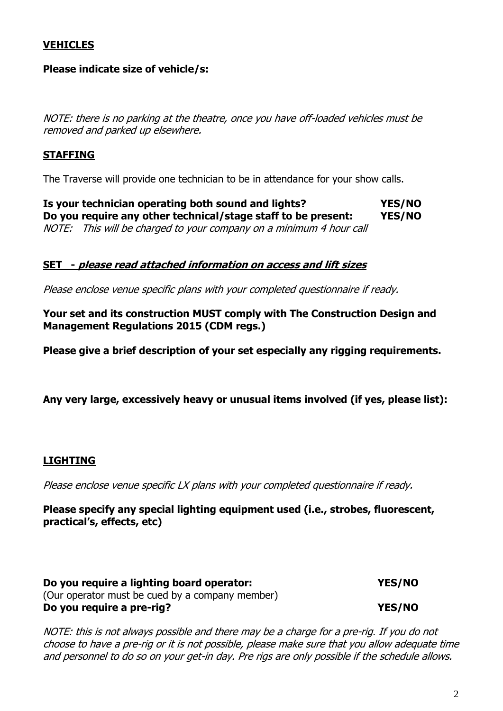### **VEHICLES**

### **Please indicate size of vehicle/s:**

NOTE: there is no parking at the theatre, once you have off-loaded vehicles must be removed and parked up elsewhere.

### **STAFFING**

The Traverse will provide one technician to be in attendance for your show calls.

**Is your technician operating both sound and lights? YES/NO Do you require any other technical/stage staff to be present: YES/NO**  NOTE: This will be charged to your company on a minimum 4 hour call

### **SET - please read attached information on access and lift sizes**

Please enclose venue specific plans with your completed questionnaire if ready.

**Your set and its construction MUST comply with The Construction Design and Management Regulations 2015 (CDM regs.)**

**Please give a brief description of your set especially any rigging requirements.**

**Any very large, excessively heavy or unusual items involved (if yes, please list):**

### **LIGHTING**

Please enclose venue specific LX plans with your completed questionnaire if ready.

**Please specify any special lighting equipment used (i.e., strobes, fluorescent, practical's, effects, etc)**

| Do you require a lighting board operator:       | YES/NO        |
|-------------------------------------------------|---------------|
| (Our operator must be cued by a company member) |               |
| Do you require a pre-rig?                       | <b>YES/NO</b> |

NOTE: this is not always possible and there may be a charge for a pre-rig. If you do not choose to have a pre-rig or it is not possible, please make sure that you allow adequate time and personnel to do so on your get-in day. Pre rigs are only possible if the schedule allows.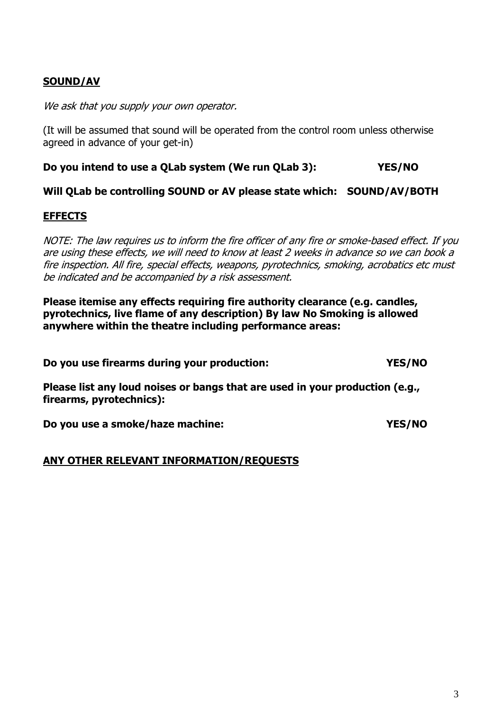## **SOUND/AV**

We ask that you supply your own operator.

(It will be assumed that sound will be operated from the control room unless otherwise agreed in advance of your get-in)

#### **Do you intend to use a QLab system (We run QLab 3): YES/NO**

**Will QLab be controlling SOUND or AV please state which: SOUND/AV/BOTH**

### **EFFECTS**

NOTE: The law requires us to inform the fire officer of any fire or smoke-based effect. If you are using these effects, we will need to know at least 2 weeks in advance so we can book a fire inspection. All fire, special effects, weapons, pyrotechnics, smoking, acrobatics etc must be indicated and be accompanied by a risk assessment.

**Please itemise any effects requiring fire authority clearance (e.g. candles, pyrotechnics, live flame of any description) By law No Smoking is allowed anywhere within the theatre including performance areas:** 

**Do you use firearms during your production: YES/NO**

**Please list any loud noises or bangs that are used in your production (e.g., firearms, pyrotechnics):**

**Do you use a smoke/haze machine: YES/NO**

**ANY OTHER RELEVANT INFORMATION/REQUESTS**